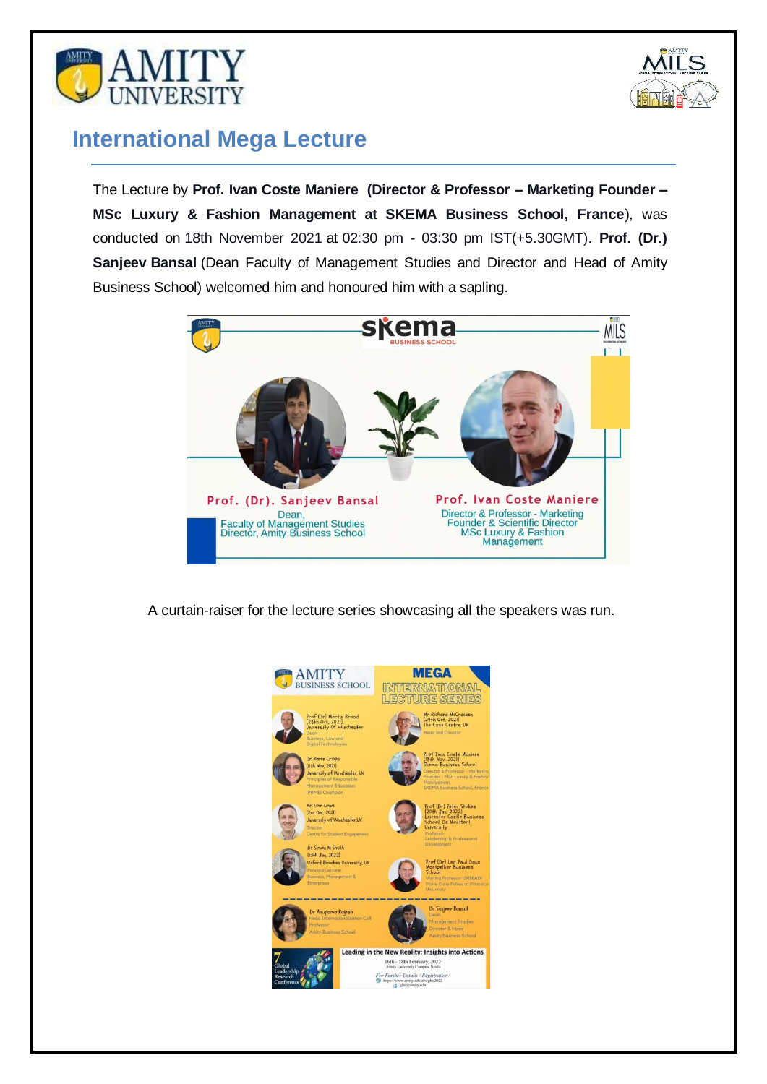



## **International Mega Lecture**

The Lecture by **Prof. Ivan Coste Maniere (Director & Professor – Marketing Founder – MSc Luxury & Fashion Management at SKEMA Business School, France**), was conducted on 18th November 2021 at 02:30 pm - 03:30 pm IST(+5.30GMT). **Prof. (Dr.) Sanjeev Bansal** (Dean Faculty of Management Studies and Director and Head of Amity Business School) welcomed him and honoured him with a sapling.



A curtain-raiser for the lecture series showcasing all the speakers was run.

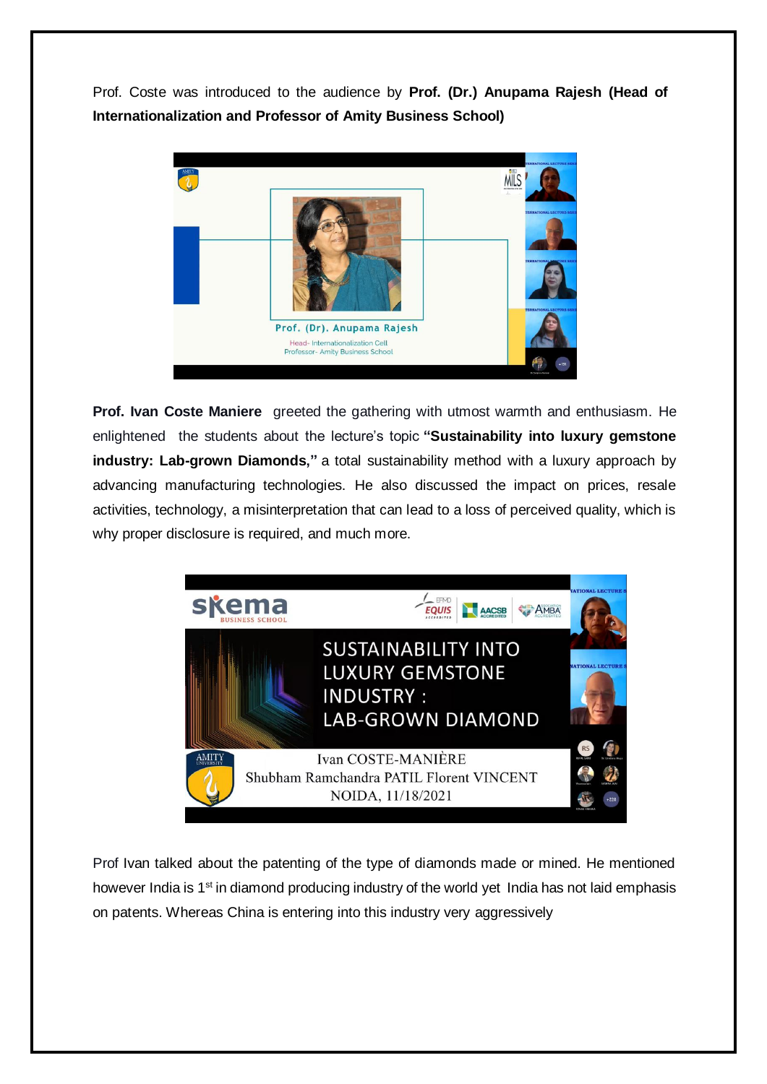Prof. Coste was introduced to the audience by **Prof. (Dr.) Anupama Rajesh (Head of Internationalization and Professor of Amity Business School)**



**Prof. Ivan Coste Maniere** greeted the gathering with utmost warmth and enthusiasm. He enlightened the students about the lecture's topic **"Sustainability into luxury gemstone industry: Lab-grown Diamonds,"** a total sustainability method with a luxury approach by advancing manufacturing technologies. He also discussed the impact on prices, resale activities, technology, a misinterpretation that can lead to a loss of perceived quality, which is why proper disclosure is required, and much more.



Prof Ivan talked about the patenting of the type of diamonds made or mined. He mentioned however India is 1<sup>st</sup> in diamond producing industry of the world yet India has not laid emphasis on patents. Whereas China is entering into this industry very aggressively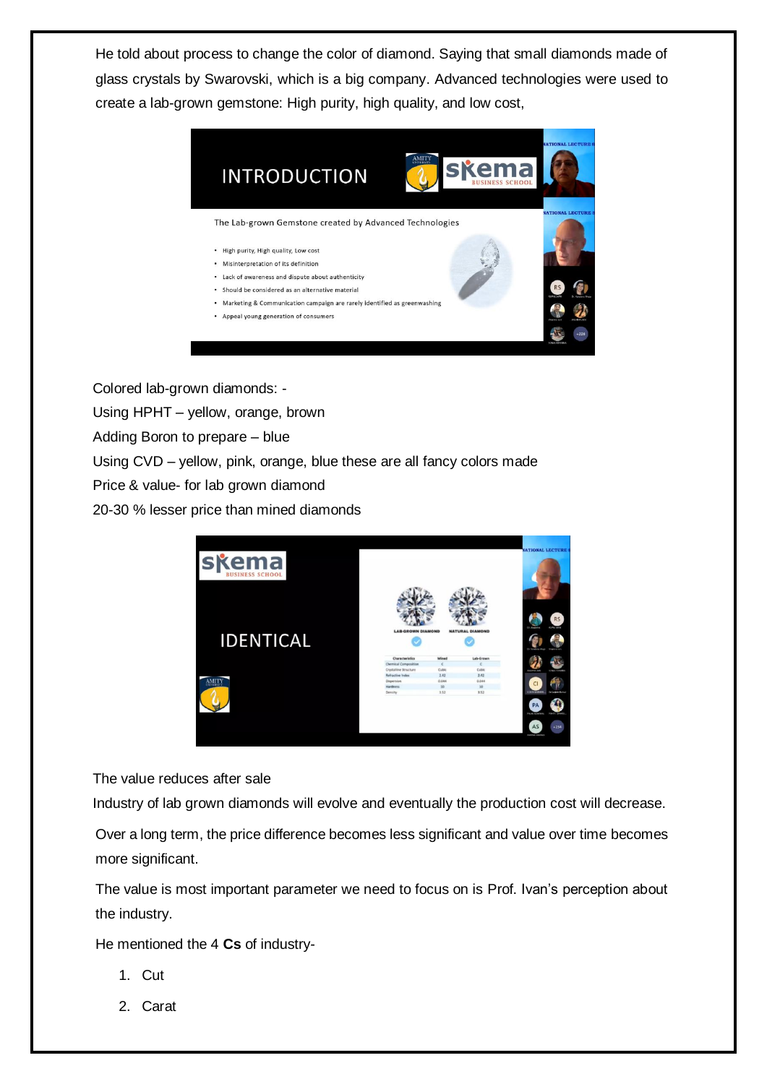He told about process to change the color of diamond. Saying that small diamonds made of glass crystals by Swarovski, which is a big company. Advanced technologies were used to create a lab-grown gemstone: High purity, high quality, and low cost,



Colored lab-grown diamonds: -

Using HPHT – yellow, orange, brown

Adding Boron to prepare – blue

Using CVD – yellow, pink, orange, blue these are all fancy colors made

Price & value- for lab grown diamond

20-30 % lesser price than mined diamonds



The value reduces after sale

Industry of lab grown diamonds will evolve and eventually the production cost will decrease.

Over a long term, the price difference becomes less significant and value over time becomes more significant.

The value is most important parameter we need to focus on is Prof. Ivan's perception about the industry.

He mentioned the 4 **Cs** of industry-

- 1. Cut
- 2. Carat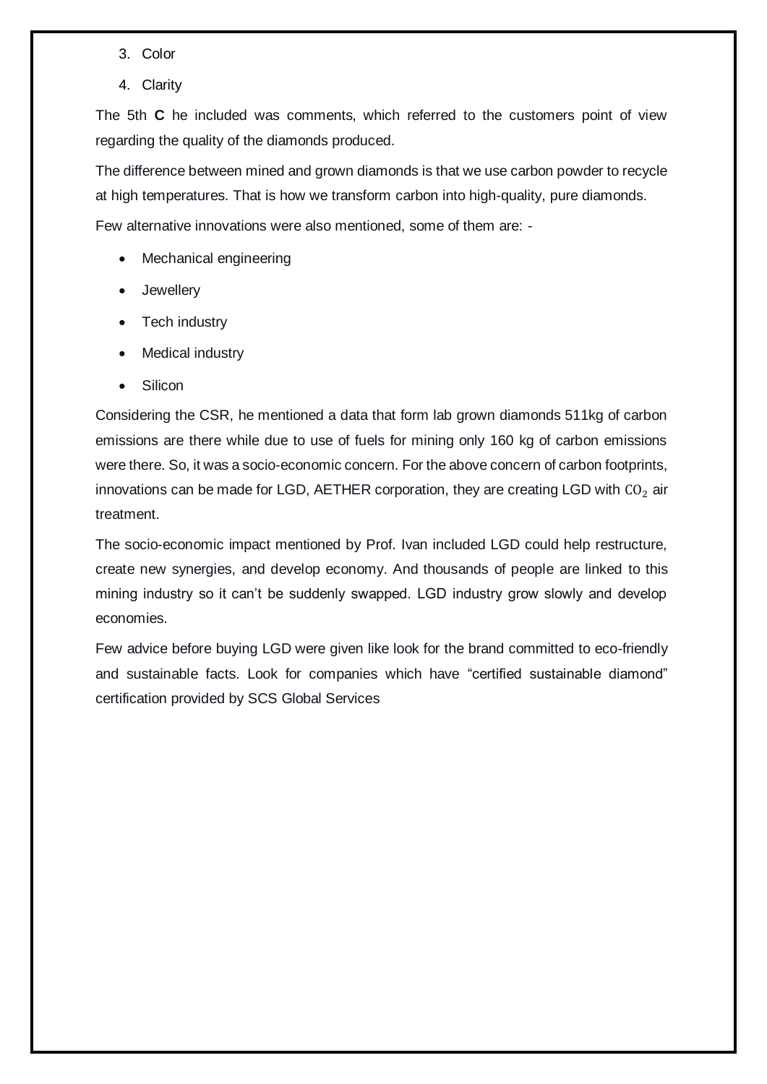- 3. Color
- 4. Clarity

The 5th **C** he included was comments, which referred to the customers point of view regarding the quality of the diamonds produced.

The difference between mined and grown diamonds is that we use carbon powder to recycle at high temperatures. That is how we transform carbon into high-quality, pure diamonds.

Few alternative innovations were also mentioned, some of them are: -

- Mechanical engineering
- Jewellery
- Tech industry
- Medical industry
- Silicon

Considering the CSR, he mentioned a data that form lab grown diamonds 511kg of carbon emissions are there while due to use of fuels for mining only 160 kg of carbon emissions were there. So, it was a socio-economic concern. For the above concern of carbon footprints, innovations can be made for LGD, AETHER corporation, they are creating LGD with  $CO<sub>2</sub>$  air treatment.

The socio-economic impact mentioned by Prof. Ivan included LGD could help restructure, create new synergies, and develop economy. And thousands of people are linked to this mining industry so it can't be suddenly swapped. LGD industry grow slowly and develop economies.

Few advice before buying LGD were given like look for the brand committed to eco-friendly and sustainable facts. Look for companies which have "certified sustainable diamond" certification provided by SCS Global Services